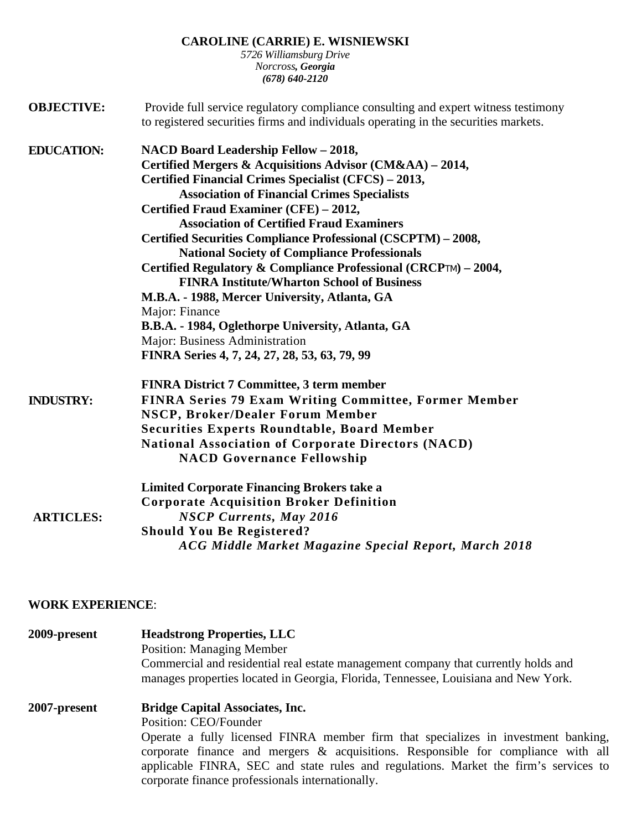**CAROLINE (CARRIE) E. WISNIEWSKI** 

*5726 Williamsburg Drive Norcross, Georgia (678) 640-2120* 

| <b>OBJECTIVE:</b> | Provide full service regulatory compliance consulting and expert witness testimony<br>to registered securities firms and individuals operating in the securities markets. |  |  |
|-------------------|---------------------------------------------------------------------------------------------------------------------------------------------------------------------------|--|--|
| <b>EDUCATION:</b> | NACD Board Leadership Fellow - 2018,                                                                                                                                      |  |  |
|                   | Certified Mergers & Acquisitions Advisor (CM&AA) – 2014,                                                                                                                  |  |  |
|                   | Certified Financial Crimes Specialist (CFCS) - 2013,                                                                                                                      |  |  |
|                   | <b>Association of Financial Crimes Specialists</b>                                                                                                                        |  |  |
|                   | Certified Fraud Examiner (CFE) - 2012,                                                                                                                                    |  |  |
|                   | <b>Association of Certified Fraud Examiners</b>                                                                                                                           |  |  |
|                   | Certified Securities Compliance Professional (CSCPTM) - 2008,                                                                                                             |  |  |
|                   | <b>National Society of Compliance Professionals</b>                                                                                                                       |  |  |
|                   | Certified Regulatory & Compliance Professional (CRCPTM) - 2004,                                                                                                           |  |  |
|                   | <b>FINRA Institute/Wharton School of Business</b>                                                                                                                         |  |  |
|                   | M.B.A. - 1988, Mercer University, Atlanta, GA                                                                                                                             |  |  |
|                   | Major: Finance                                                                                                                                                            |  |  |
|                   | B.B.A. - 1984, Oglethorpe University, Atlanta, GA                                                                                                                         |  |  |
|                   | Major: Business Administration                                                                                                                                            |  |  |
|                   | FINRA Series 4, 7, 24, 27, 28, 53, 63, 79, 99                                                                                                                             |  |  |
|                   | <b>FINRA District 7 Committee, 3 term member</b>                                                                                                                          |  |  |
| <b>INDUSTRY:</b>  | <b>FINRA Series 79 Exam Writing Committee, Former Member</b>                                                                                                              |  |  |
|                   | <b>NSCP, Broker/Dealer Forum Member</b>                                                                                                                                   |  |  |
|                   | <b>Securities Experts Roundtable, Board Member</b>                                                                                                                        |  |  |
|                   | <b>National Association of Corporate Directors (NACD)</b>                                                                                                                 |  |  |
|                   | <b>NACD Governance Fellowship</b>                                                                                                                                         |  |  |
|                   | <b>Limited Corporate Financing Brokers take a</b>                                                                                                                         |  |  |
|                   | <b>Corporate Acquisition Broker Definition</b>                                                                                                                            |  |  |
| <b>ARTICLES:</b>  | <b>NSCP Currents, May 2016</b>                                                                                                                                            |  |  |
|                   | <b>Should You Be Registered?</b>                                                                                                                                          |  |  |
|                   | ACG Middle Market Magazine Special Report, March 2018                                                                                                                     |  |  |

## **WORK EXPERIENCE**:

| 2009-present | <b>Headstrong Properties, LLC</b><br><b>Position: Managing Member</b>                |  |  |
|--------------|--------------------------------------------------------------------------------------|--|--|
|              |                                                                                      |  |  |
|              | Commercial and residential real estate management company that currently holds and   |  |  |
|              | manages properties located in Georgia, Florida, Tennessee, Louisiana and New York.   |  |  |
| 2007-present | <b>Bridge Capital Associates, Inc.</b>                                               |  |  |
|              | Position: CEO/Founder                                                                |  |  |
|              | Operate a fully licensed FINRA member firm that specializes in investment banking,   |  |  |
|              | corporate finance and mergers & acquisitions. Responsible for compliance with all    |  |  |
|              | applicable FINRA, SEC and state rules and regulations. Market the firm's services to |  |  |
|              | corporate finance professionals internationally.                                     |  |  |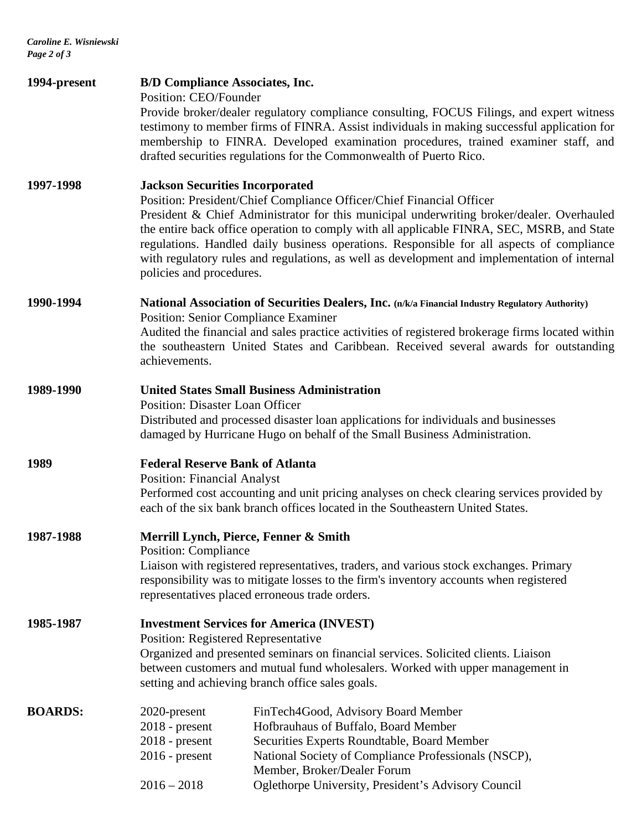*Caroline E. Wisniewski Page 2 of 3* 

| 1994-present   | <b>B/D Compliance Associates, Inc.</b><br>Position: CEO/Founder                                                                                                                                                                                                                                                                                                                                                                                                                                                                    | Provide broker/dealer regulatory compliance consulting, FOCUS Filings, and expert witness<br>testimony to member firms of FINRA. Assist individuals in making successful application for<br>membership to FINRA. Developed examination procedures, trained examiner staff, and<br>drafted securities regulations for the Commonwealth of Puerto Rico. |  |
|----------------|------------------------------------------------------------------------------------------------------------------------------------------------------------------------------------------------------------------------------------------------------------------------------------------------------------------------------------------------------------------------------------------------------------------------------------------------------------------------------------------------------------------------------------|-------------------------------------------------------------------------------------------------------------------------------------------------------------------------------------------------------------------------------------------------------------------------------------------------------------------------------------------------------|--|
| 1997-1998      | <b>Jackson Securities Incorporated</b><br>Position: President/Chief Compliance Officer/Chief Financial Officer<br>President & Chief Administrator for this municipal underwriting broker/dealer. Overhauled<br>the entire back office operation to comply with all applicable FINRA, SEC, MSRB, and State<br>regulations. Handled daily business operations. Responsible for all aspects of compliance<br>with regulatory rules and regulations, as well as development and implementation of internal<br>policies and procedures. |                                                                                                                                                                                                                                                                                                                                                       |  |
| 1990-1994      | National Association of Securities Dealers, Inc. (n/k/a Financial Industry Regulatory Authority)<br><b>Position: Senior Compliance Examiner</b><br>Audited the financial and sales practice activities of registered brokerage firms located within<br>the southeastern United States and Caribbean. Received several awards for outstanding<br>achievements.                                                                                                                                                                      |                                                                                                                                                                                                                                                                                                                                                       |  |
| 1989-1990      | <b>United States Small Business Administration</b><br><b>Position: Disaster Loan Officer</b><br>Distributed and processed disaster loan applications for individuals and businesses<br>damaged by Hurricane Hugo on behalf of the Small Business Administration.                                                                                                                                                                                                                                                                   |                                                                                                                                                                                                                                                                                                                                                       |  |
| 1989           | <b>Federal Reserve Bank of Atlanta</b><br><b>Position: Financial Analyst</b><br>Performed cost accounting and unit pricing analyses on check clearing services provided by<br>each of the six bank branch offices located in the Southeastern United States.                                                                                                                                                                                                                                                                       |                                                                                                                                                                                                                                                                                                                                                       |  |
| 1987-1988      | Merrill Lynch, Pierce, Fenner & Smith<br><b>Position: Compliance</b><br>Liaison with registered representatives, traders, and various stock exchanges. Primary<br>responsibility was to mitigate losses to the firm's inventory accounts when registered<br>representatives placed erroneous trade orders.                                                                                                                                                                                                                         |                                                                                                                                                                                                                                                                                                                                                       |  |
| 1985-1987      | <b>Investment Services for America (INVEST)</b><br>Position: Registered Representative<br>Organized and presented seminars on financial services. Solicited clients. Liaison<br>between customers and mutual fund wholesalers. Worked with upper management in<br>setting and achieving branch office sales goals.                                                                                                                                                                                                                 |                                                                                                                                                                                                                                                                                                                                                       |  |
| <b>BOARDS:</b> | 2020-present<br>$2018$ - present<br>$2018$ - present<br>$2016$ - present<br>$2016 - 2018$                                                                                                                                                                                                                                                                                                                                                                                                                                          | FinTech4Good, Advisory Board Member<br>Hofbrauhaus of Buffalo, Board Member<br>Securities Experts Roundtable, Board Member<br>National Society of Compliance Professionals (NSCP),<br>Member, Broker/Dealer Forum<br>Oglethorpe University, President's Advisory Council                                                                              |  |